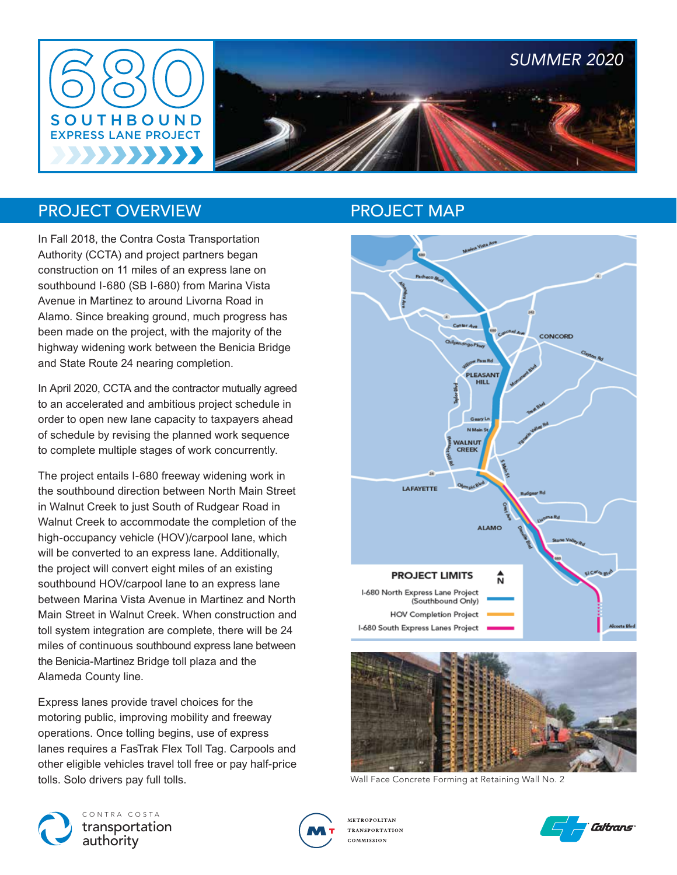

### PROJECT OVERVIEW

In Fall 2018, the Contra Costa Transportation Authority (CCTA) and project partners began construction on 11 miles of an express lane on southbound I-680 (SB I-680) from Marina Vista Avenue in Martinez to around Livorna Road in Alamo. Since breaking ground, much progress has been made on the project, with the majority of the highway widening work between the Benicia Bridge and State Route 24 nearing completion.

In April 2020, CCTA and the contractor mutually agreed to an accelerated and ambitious project schedule in order to open new lane capacity to taxpayers ahead of schedule by revising the planned work sequence to complete multiple stages of work concurrently.

The project entails I-680 freeway widening work in the southbound direction between North Main Street in Walnut Creek to just South of Rudgear Road in Walnut Creek to accommodate the completion of the high-occupancy vehicle (HOV)/carpool lane, which will be converted to an express lane. Additionally, the project will convert eight miles of an existing southbound HOV/carpool lane to an express lane between Marina Vista Avenue in Martinez and North Main Street in Walnut Creek. When construction and toll system integration are complete, there will be 24 miles of continuous southbound express lane between the Benicia-Martinez Bridge toll plaza and the Alameda County line.

Express lanes provide travel choices for the motoring public, improving mobility and freeway operations. Once tolling begins, use of express lanes requires a FasTrak Flex Toll Tag. Carpools and other eligible vehicles travel toll free or pay half-price tolls. Solo drivers pay full tolls.

## PROJECT MAP





Wall Face Concrete Forming at Retaining Wall No. 2





**METROPOLITAN TRANSPORTATION** COMMISSION